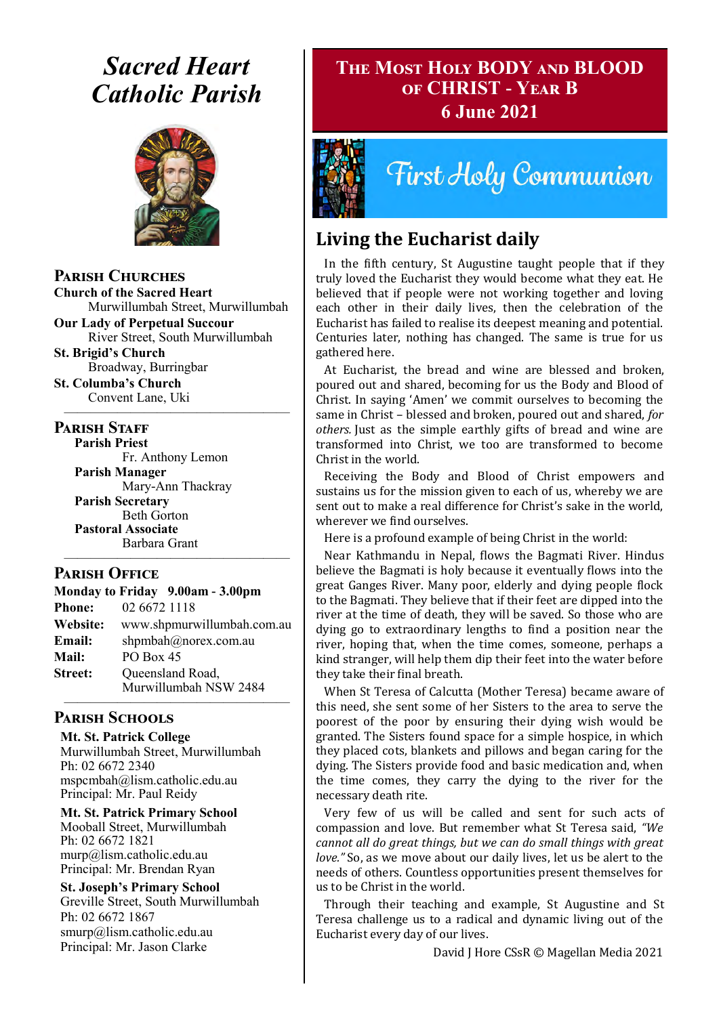# *Sacred Heart Catholic Parish*



### **Parish Churches**

**Church of the Sacred Heart** Murwillumbah Street, Murwillumbah

**Our Lady of Perpetual Succour** River Street, South Murwillumbah

**St. Brigid's Church** Broadway, Burringbar

**St. Columba's Church** Convent Lane, Uki —————————————————

### **PARISH STAFF**

**Parish Priest** Fr. Anthony Lemon

**Parish Manager** Mary-Ann Thackray **Parish Secretary** Beth Gorton **Pastoral Associate** Barbara Grant

### **Parish Office**

**Monday to Friday 9.00am - 3.00pm Phone:** 02 6672 1118 **Website:** www.shpmurwillumbah.com.au **Email:** shpmbah@norex.com.au **Mail:** PO Box 45 **Street:** Oueensland Road, Murwillumbah NSW 2484 —————————————————

—————————————————

### **Parish Schools**

**Mt. St. Patrick College** Murwillumbah Street, Murwillumbah Ph: 02 6672 2340 mspcmbah@lism.catholic.edu.au Principal: Mr. Paul Reidy

**Mt. St. Patrick Primary School** Mooball Street, Murwillumbah Ph: 02 6672 1821 murp@lism.catholic.edu.au Principal: Mr. Brendan Ryan

**St. Joseph's Primary School** Greville Street, South Murwillumbah Ph: 02 6672 1867 smurp@lism.catholic.edu.au Principal: Mr. Jason Clarke

# **The Most Holy BODY and BLOOD of CHRIST - Year B 6 June 2021**



**Tirst Holy Communion** 

# **Living the Eucharist daily**

In the fifth century, St Augustine taught people that if they truly loved the Eucharist they would become what they eat. He believed that if people were not working together and loving each other in their daily lives, then the celebration of the Eucharist has failed to realise its deepest meaning and potential. Centuries later, nothing has changed. The same is true for us gathered here.

At Eucharist, the bread and wine are blessed and broken, poured out and shared, becoming for us the Body and Blood of Christ. In saying 'Amen' we commit ourselves to becoming the same in Christ – blessed and broken, poured out and shared, *for others.* Just as the simple earthly gifts of bread and wine are transformed into Christ, we too are transformed to become Christ in the world.

Receiving the Body and Blood of Christ empowers and sustains us for the mission given to each of us, whereby we are sent out to make a real difference for Christ's sake in the world, wherever we find ourselves.

Here is a profound example of being Christ in the world:

Near Kathmandu in Nepal, flows the Bagmati River. Hindus believe the Bagmati is holy because it eventually flows into the great Ganges River. Many poor, elderly and dying people flock to the Bagmati. They believe that if their feet are dipped into the river at the time of death, they will be saved. So those who are dying go to extraordinary lengths to find a position near the river, hoping that, when the time comes, someone, perhaps a kind stranger, will help them dip their feet into the water before they take their final breath.

When St Teresa of Calcutta (Mother Teresa) became aware of this need, she sent some of her Sisters to the area to serve the poorest of the poor by ensuring their dying wish would be granted. The Sisters found space for a simple hospice, in which they placed cots, blankets and pillows and began caring for the dying. The Sisters provide food and basic medication and, when the time comes, they carry the dying to the river for the necessary death rite.

Very few of us will be called and sent for such acts of compassion and love. But remember what St Teresa said, *"We cannot all do great things, but we can do small things with great love."* So, as we move about our daily lives, let us be alert to the needs of others. Countless opportunities present themselves for us to be Christ in the world.

Through their teaching and example, St Augustine and St Teresa challenge us to a radical and dynamic living out of the Eucharist every day of our lives.

David J Hore CSsR © Magellan Media 2021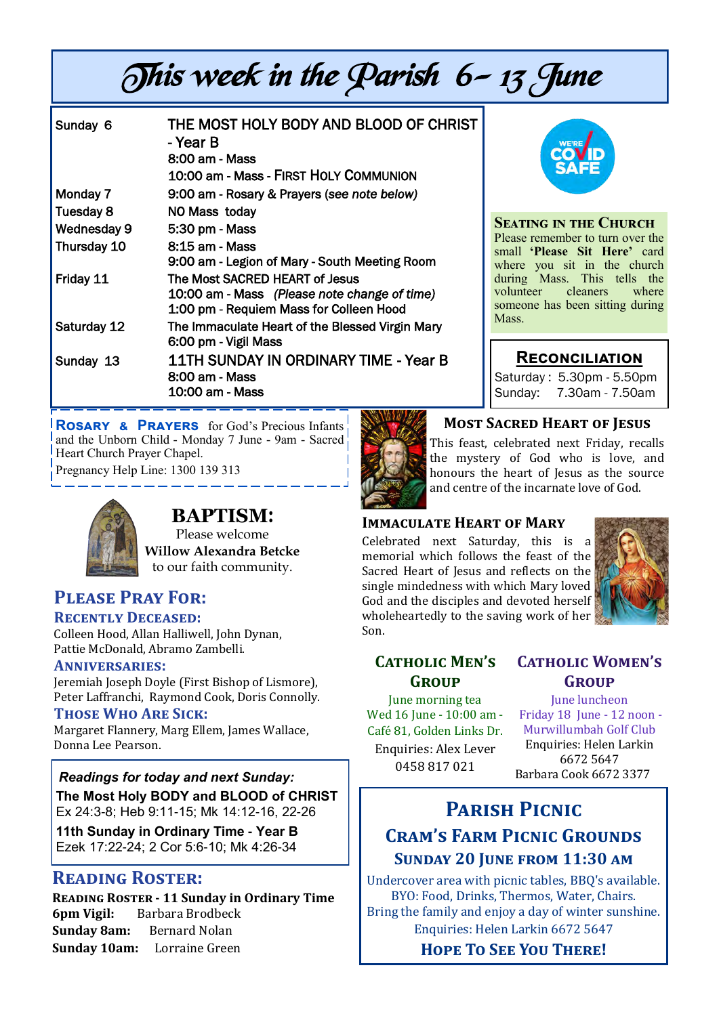# This week in the Parish 6-13 June

| Sunday 6    | THE MOST HOLY BODY AND BLOOD OF CHRIST<br>- Year B<br>8:00 am - Mass<br>10:00 am - Mass - FIRST HOLY COMMUNION            |
|-------------|---------------------------------------------------------------------------------------------------------------------------|
| Monday 7    | 9:00 am - Rosary & Prayers (see note below)                                                                               |
| Tuesday 8   | NO Mass today                                                                                                             |
| Wednesday 9 | 5:30 pm - Mass                                                                                                            |
| Thursday 10 | 8:15 am - Mass<br>9:00 am - Legion of Mary - South Meeting Room                                                           |
| Friday 11   | The Most SACRED HEART of Jesus<br>10:00 am - Mass (Please note change of time)<br>1:00 pm - Requiem Mass for Colleen Hood |
| Saturday 12 | The Immaculate Heart of the Blessed Virgin Mary<br>6:00 pm - Vigil Mass                                                   |
| Sunday 13   | 11TH SUNDAY IN ORDINARY TIME - Year B<br>8:00 am - Mass<br>10:00 am - Mass                                                |



#### **Seating in the Church**

Please remember to turn over the small **'Please Sit Here'** card where you sit in the church during Mass. This tells the volunteer cleaners where someone has been sitting during Mass.

### **Reconciliation**

Saturday : 5.30pm - 5.50pm Sunday: 7.30am - 7.50am

**Rosary & Prayers** for God's Precious Infants and the Unborn Child - Monday 7 June - 9am - Sacred Heart Church Prayer Chapel.

Pregnancy Help Line: 1300 139 313



# **BAPTISM**:

Please welcome  **Willow Alexandra Betcke** to our faith community.

# **Please Pray For:**

### **Recently Deceased:**

Colleen Hood, Allan Halliwell, John Dynan, Pattie McDonald, Abramo Zambelli.

### **Anniversaries:**

Jeremiah Joseph Doyle (First Bishop of Lismore), Peter Laffranchi, Raymond Cook, Doris Connolly.

### **Those Who Are Sick:**

Margaret Flannery, Marg Ellem, James Wallace, Donna Lee Pearson.

*Readings for today and next Sunday:*  **The Most Holy BODY and BLOOD of CHRIST**  Ex 24:3-8; Heb 9:11-15; Mk 14:12-16, 22-26

**11th Sunday in Ordinary Time - Year B**  Ezek 17:22-24; 2 Cor 5:6-10; Mk 4:26-34

## **Reading Roster:**

**Reading Roster - 11 Sunday in Ordinary Time 6pm Vigil:** Barbara Brodbeck **Sunday 8am:** Bernard Nolan **Sunday 10am:** Lorraine Green



### **Most Sacred Heart of Jesus**

This feast, celebrated next Friday, recalls the mystery of God who is love, and honours the heart of Jesus as the source and centre of the incarnate love of God.

### **Immaculate Heart of Mary**

Celebrated next Saturday, this is a memorial which follows the feast of the Sacred Heart of Jesus and reflects on the single mindedness with which Mary loved God and the disciples and devoted herself wholeheartedly to the saving work of her Son.



### **Catholic Men's Group**

June morning tea Wed 16 June - 10:00 am -Cafe 81, Golden Links Dr. Enquiries: Alex Lever 0458 817 021

# **Catholic Women's Group**

June luncheon Friday 18 June - 12 noon - Murwillumbah Golf Club Enquiries: Helen Larkin 6672 5647 Barbara Cook 6672 3377

# **Parish Picnic Cram's Farm Picnic Grounds Sunday 20 June from 11:30 am**

Undercover area with picnic tables, BBQ's available. BYO: Food, Drinks, Thermos, Water, Chairs. Bring the family and enjoy a day of winter sunshine. Enquiries: Helen Larkin 6672 5647

**Hope To See You There!**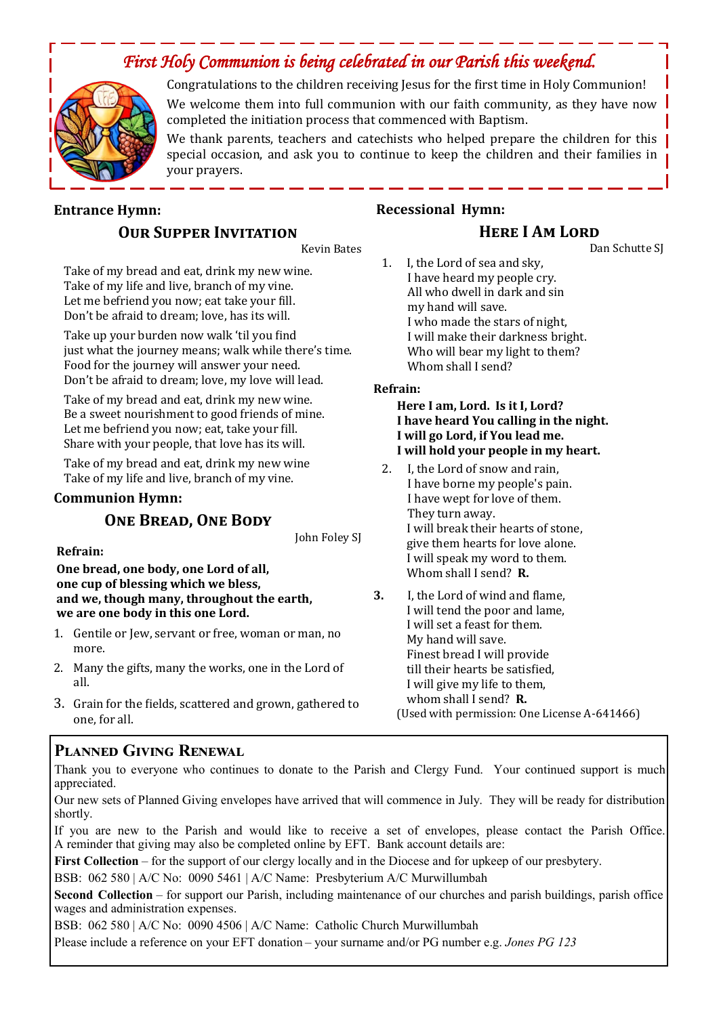# *First Holy Communion is being celebrated in our Parish this weekend.*



Congratulations to the children receiving Jesus for the first time in Holy Communion! We welcome them into full communion with our faith community, as they have now completed the initiation process that commenced with Baptism.

We thank parents, teachers and catechists who helped prepare the children for this special occasion, and ask you to continue to keep the children and their families in your prayers.

### **Entrance Hymn: OUR SUPPER INVITATION**

Kevin Bates

Take of my bread and eat, drink my new wine. Take of my life and live, branch of my vine. Let me befriend you now; eat take your fill. Don't be afraid to dream; love, has its will.

Take up your burden now walk 'til you find just what the journey means; walk while there's time. Food for the journey will answer your need. Don't be afraid to dream; love, my love will lead.

Take of my bread and eat, drink my new wine. Be a sweet nourishment to good friends of mine. Let me befriend you now; eat, take your fill. Share with your people, that love has its will.

Take of my bread and eat, drink my new wine Take of my life and live, branch of my vine.

### **Communion Hymn:**

### **One Bread, One Body**

John Foley SJ

### **Refrain:**

**One bread, one body, one Lord of all, one cup of blessing which we bless, and we, though many, throughout the earth, we are one body in this one Lord.** 

- 1. Gentile or Jew, servant or free, woman or man, no more.
- 2. Many the gifts, many the works, one in the Lord of all.
- 3. Grain for the fields, scattered and grown, gathered to one, for all.

## **Planned Giving Renewal**

Thank you to everyone who continues to donate to the Parish and Clergy Fund. Your continued support is much appreciated.

Our new sets of Planned Giving envelopes have arrived that will commence in July. They will be ready for distribution shortly.

If you are new to the Parish and would like to receive a set of envelopes, please contact the Parish Office. A reminder that giving may also be completed online by EFT. Bank account details are:

**First Collection** – for the support of our clergy locally and in the Diocese and for upkeep of our presbytery.

BSB: 062 580 | A/C No: 0090 5461 | A/C Name: Presbyterium A/C Murwillumbah

**Second Collection** – for support our Parish, including maintenance of our churches and parish buildings, parish office wages and administration expenses.

BSB: 062 580 | A/C No: 0090 4506 | A/C Name: Catholic Church Murwillumbah

Please include a reference on your EFT donation – your surname and/or PG number e.g. *Jones PG 123*

### **Recessional Hymn:**

### **Here I Am Lord**

Dan Schutte SJ

1. I, the Lord of sea and sky, I have heard my people cry. All who dwell in dark and sin my hand will save. I who made the stars of night, I will make their darkness bright. Who will bear my light to them? Whom shall I send?

#### **Refrain:**

#### **Here I am, Lord. Is it I, Lord? I have heard You calling in the night. I will go Lord, if You lead me. I will hold your people in my heart.**

- 2. I, the Lord of snow and rain, I have borne my people's pain. I have wept for love of them. They turn away. I will break their hearts of stone, give them hearts for love alone. I will speak my word to them. Whom shall I send? **R.**
- **3.** I, the Lord of wind and flame, I will tend the poor and lame, I will set a feast for them. My hand will save. Finest bread I will provide till their hearts be satisfied, I will give my life to them, whom shall I send? **R.**
	- (Used with permission: One License A-641466)